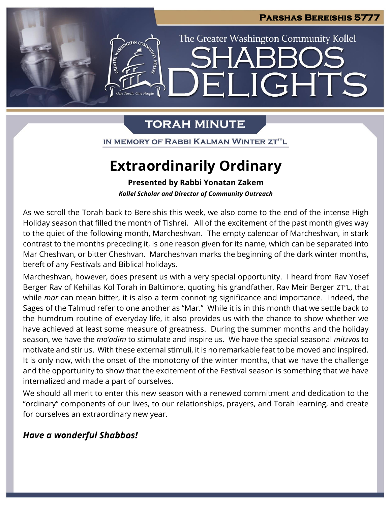

## **TORAH MINUTE**

IN MEMORY OF RABBI KALMAN WINTER ZT"L

# **Extraordinarily Ordinary**

**Presented by Rabbi Yonatan Zakem**

*Kollel Scholar and Director of Community Outreach*

As we scroll the Torah back to Bereishis this week, we also come to the end of the intense High Holiday season that filled the month of Tishrei. All of the excitement of the past month gives way to the quiet of the following month, Marcheshvan. The empty calendar of Marcheshvan, in stark contrast to the months preceding it, is one reason given for its name, which can be separated into Mar Cheshvan, or bitter Cheshvan. Marcheshvan marks the beginning of the dark winter months, bereft of any Festivals and Biblical holidays.

Marcheshvan, however, does present us with a very special opportunity. I heard from Rav Yosef Berger Rav of Kehillas Kol Torah in Baltimore, quoting his grandfather, Rav Meir Berger ZT"L, that while *mar* can mean bitter, it is also a term connoting significance and importance. Indeed, the Sages of the Talmud refer to one another as "Mar." While it is in this month that we settle back to the humdrum routine of everyday life, it also provides us with the chance to show whether we have achieved at least some measure of greatness. During the summer months and the holiday season, we have the *mo'adim* to stimulate and inspire us. We have the special seasonal *mitzvos* to motivate and stir us. With these external stimuli, it is no remarkable feat to be moved and inspired. It is only now, with the onset of the monotony of the winter months, that we have the challenge and the opportunity to show that the excitement of the Festival season is something that we have internalized and made a part of ourselves.

We should all merit to enter this new season with a renewed commitment and dedication to the "ordinary" components of our lives, to our relationships, prayers, and Torah learning, and create for ourselves an extraordinary new year.

## *Have a wonderful Shabbos!*